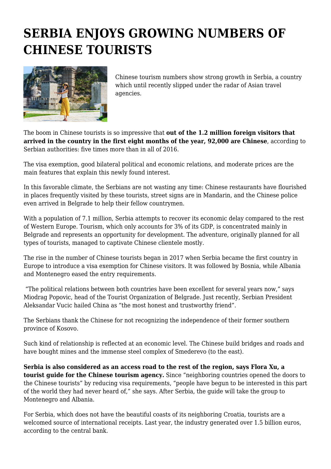## **SERBIA ENJOYS GROWING NUMBERS OF CHINESE TOURISTS**



Chinese tourism numbers show strong growth in Serbia, a country which until recently slipped under the radar of Asian travel agencies.

The boom in Chinese tourists is so impressive that **out of the 1.2 million foreign visitors that arrived in the country in the first eight months of the year, 92,000 are Chinese**, according to Serbian authorities: five times more than in all of 2016.

The visa exemption, good bilateral political and economic relations, and moderate prices are the main features that explain this newly found interest.

In this favorable climate, the Serbians are not wasting any time: Chinese restaurants have flourished in places frequently visited by these tourists, street signs are in Mandarin, and the Chinese police even arrived in Belgrade to help their fellow countrymen.

With a population of 7.1 million, Serbia attempts to recover its economic delay compared to the rest of Western Europe. Tourism, which only accounts for 3% of its GDP, is concentrated mainly in Belgrade and represents an opportunity for development. The adventure, originally planned for all types of tourists, managed to captivate Chinese clientele mostly.

The rise in the number of Chinese tourists began in 2017 when Serbia became the first country in Europe to introduce a visa exemption for Chinese visitors. It was followed by Bosnia, while Albania and Montenegro eased the entry requirements.

 "The political relations between both countries have been excellent for several years now," says Miodrag Popovic, head of the Tourist Organization of Belgrade. Just recently, Serbian President Aleksandar Vucic hailed China as "the most honest and trustworthy friend".

The Serbians thank the Chinese for not recognizing the independence of their former southern province of Kosovo.

Such kind of relationship is reflected at an economic level. The Chinese build bridges and roads and have bought mines and the immense steel complex of Smederevo (to the east).

**Serbia is also considered as an access road to the rest of the region, says Flora Xu, a tourist guide for the Chinese tourism agency.** Since "neighboring countries opened the doors to the Chinese tourists" by reducing visa requirements, "people have begun to be interested in this part of the world they had never heard of," she says. After Serbia, the guide will take the group to Montenegro and Albania.

For Serbia, which does not have the beautiful coasts of its neighboring Croatia, tourists are a welcomed source of international receipts. Last year, the industry generated over 1.5 billion euros, according to the central bank.